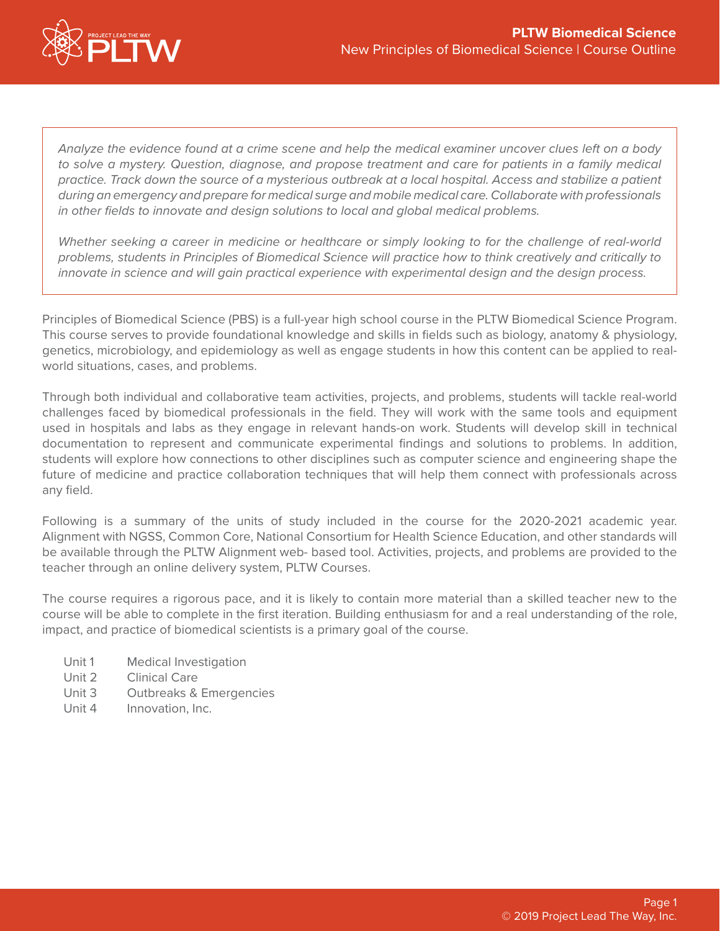

*Analyze the evidence found at a crime scene and help the medical examiner uncover clues left on a body to solve a mystery. Question, diagnose, and propose treatment and care for patients in a family medical practice. Track down the source of a mysterious outbreak at a local hospital. Access and stabilize a patient during an emergency and prepare for medical surge and mobile medical care. Collaborate with professionals in other fields to innovate and design solutions to local and global medical problems.*

*Whether seeking a career in medicine or healthcare or simply looking to for the challenge of real-world problems, students in Principles of Biomedical Science will practice how to think creatively and critically to innovate in science and will gain practical experience with experimental design and the design process.*

Principles of Biomedical Science (PBS) is a full-year high school course in the PLTW Biomedical Science Program. This course serves to provide foundational knowledge and skills in fields such as biology, anatomy & physiology, genetics, microbiology, and epidemiology as well as engage students in how this content can be applied to realworld situations, cases, and problems.

Through both individual and collaborative team activities, projects, and problems, students will tackle real-world challenges faced by biomedical professionals in the field. They will work with the same tools and equipment used in hospitals and labs as they engage in relevant hands-on work. Students will develop skill in technical documentation to represent and communicate experimental findings and solutions to problems. In addition, students will explore how connections to other disciplines such as computer science and engineering shape the future of medicine and practice collaboration techniques that will help them connect with professionals across any field.

Following is a summary of the units of study included in the course for the 2020-2021 academic year. Alignment with NGSS, Common Core, National Consortium for Health Science Education, and other standards will be available through the PLTW Alignment web- based tool. Activities, projects, and problems are provided to the teacher through an online delivery system, PLTW Courses.

The course requires a rigorous pace, and it is likely to contain more material than a skilled teacher new to the course will be able to complete in the first iteration. Building enthusiasm for and a real understanding of the role, impact, and practice of biomedical scientists is a primary goal of the course.

- Unit 1 Medical Investigation
- Unit 2 Clinical Care
- Unit 3 Outbreaks & Emergencies
- Unit 4 Innovation, Inc.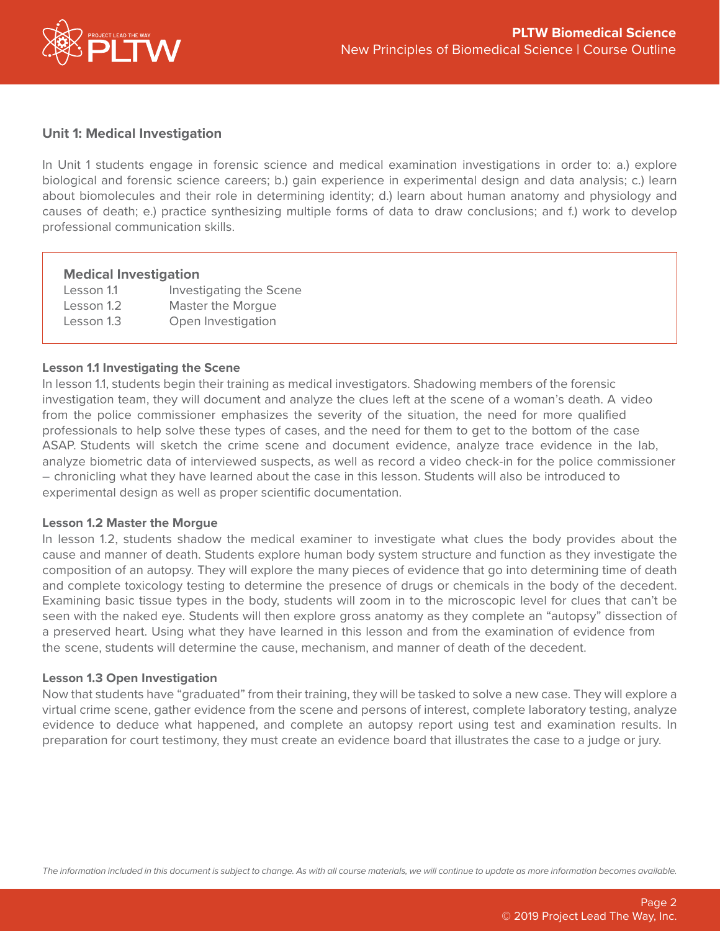

### **Unit 1: Medical Investigation**

In Unit 1 students engage in forensic science and medical examination investigations in order to: a.) explore biological and forensic science careers; b.) gain experience in experimental design and data analysis; c.) learn about biomolecules and their role in determining identity; d.) learn about human anatomy and physiology and causes of death; e.) practice synthesizing multiple forms of data to draw conclusions; and f.) work to develop professional communication skills.

### **Medical Investigation**

| Lesson 1.1 | Investigating the Scene |
|------------|-------------------------|
| Lesson 1.2 | Master the Morgue       |
| Lesson 1.3 | Open Investigation      |

### **Lesson 1.1 Investigating the Scene**

In lesson 1.1, students begin their training as medical investigators. Shadowing members of the forensic investigation team, they will document and analyze the clues left at the scene of a woman's death. A video from the police commissioner emphasizes the severity of the situation, the need for more qualified professionals to help solve these types of cases, and the need for them to get to the bottom of the case ASAP. Students will sketch the crime scene and document evidence, analyze trace evidence in the lab, analyze biometric data of interviewed suspects, as well as record a video check-in for the police commissioner – chronicling what they have learned about the case in this lesson. Students will also be introduced to experimental design as well as proper scientific documentation.

#### **Lesson 1.2 Master the Morgue**

In lesson 1.2, students shadow the medical examiner to investigate what clues the body provides about the cause and manner of death. Students explore human body system structure and function as they investigate the composition of an autopsy. They will explore the many pieces of evidence that go into determining time of death and complete toxicology testing to determine the presence of drugs or chemicals in the body of the decedent. Examining basic tissue types in the body, students will zoom in to the microscopic level for clues that can't be seen with the naked eye. Students will then explore gross anatomy as they complete an "autopsy" dissection of a preserved heart. Using what they have learned in this lesson and from the examination of evidence from the scene, students will determine the cause, mechanism, and manner of death of the decedent.

#### **Lesson 1.3 Open Investigation**

Now that students have "graduated" from their training, they will be tasked to solve a new case. They will explore a virtual crime scene, gather evidence from the scene and persons of interest, complete laboratory testing, analyze evidence to deduce what happened, and complete an autopsy report using test and examination results. In preparation for court testimony, they must create an evidence board that illustrates the case to a judge or jury.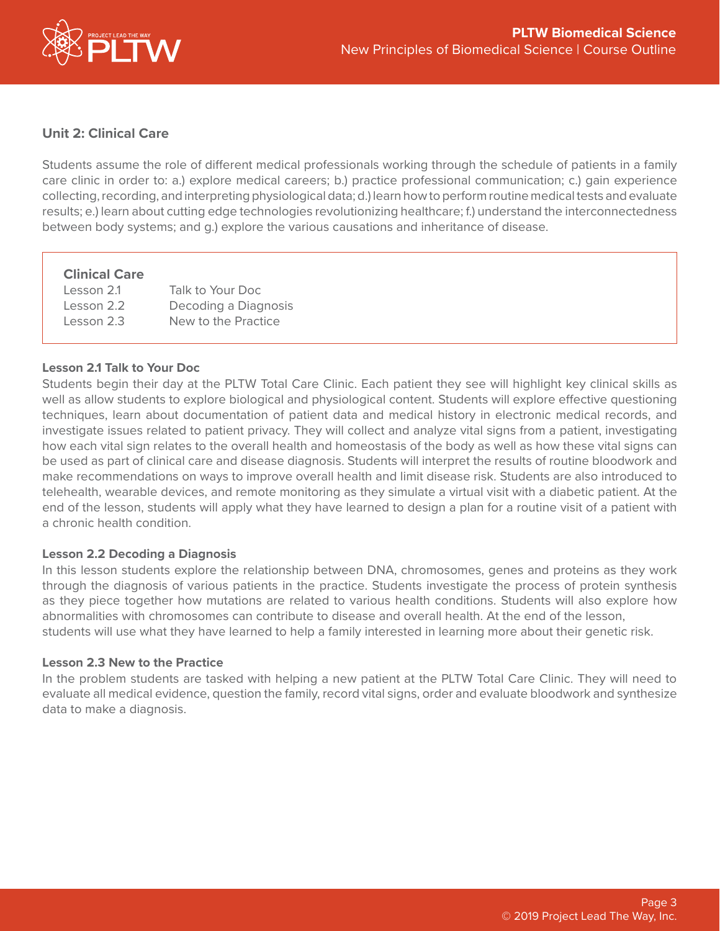

# **Unit 2: Clinical Care**

Students assume the role of different medical professionals working through the schedule of patients in a family care clinic in order to: a.) explore medical careers; b.) practice professional communication; c.) gain experience collecting, recording, and interpreting physiological data; d.) learn how to perform routine medical tests and evaluate results; e.) learn about cutting edge technologies revolutionizing healthcare; f.) understand the interconnectedness between body systems; and g.) explore the various causations and inheritance of disease.

# **Clinical Care**

| Lesson 2.1 | Talk to Your Doc     |
|------------|----------------------|
| Lesson 2.2 | Decoding a Diagnosis |
| Lesson 2.3 | New to the Practice  |

# **Lesson 2.1 Talk to Your Doc**

Students begin their day at the PLTW Total Care Clinic. Each patient they see will highlight key clinical skills as well as allow students to explore biological and physiological content. Students will explore effective questioning techniques, learn about documentation of patient data and medical history in electronic medical records, and investigate issues related to patient privacy. They will collect and analyze vital signs from a patient, investigating how each vital sign relates to the overall health and homeostasis of the body as well as how these vital signs can be used as part of clinical care and disease diagnosis. Students will interpret the results of routine bloodwork and make recommendations on ways to improve overall health and limit disease risk. Students are also introduced to telehealth, wearable devices, and remote monitoring as they simulate a virtual visit with a diabetic patient. At the end of the lesson, students will apply what they have learned to design a plan for a routine visit of a patient with a chronic health condition.

# **Lesson 2.2 Decoding a Diagnosis**

In this lesson students explore the relationship between DNA, chromosomes, genes and proteins as they work through the diagnosis of various patients in the practice. Students investigate the process of protein synthesis as they piece together how mutations are related to various health conditions. Students will also explore how abnormalities with chromosomes can contribute to disease and overall health. At the end of the lesson, students will use what they have learned to help a family interested in learning more about their genetic risk.

### **Lesson 2.3 New to the Practice**

In the problem students are tasked with helping a new patient at the PLTW Total Care Clinic. They will need to evaluate all medical evidence, question the family, record vital signs, order and evaluate bloodwork and synthesize data to make a diagnosis.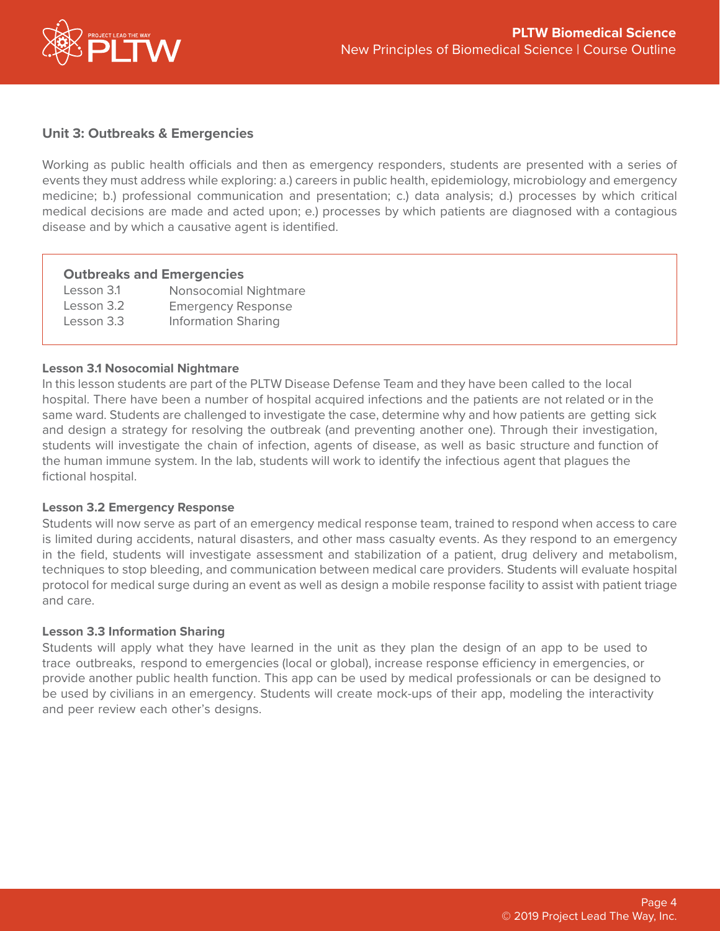

## **Unit 3: Outbreaks & Emergencies**

Working as public health officials and then as emergency responders, students are presented with a series of events they must address while exploring: a.) careers in public health, epidemiology, microbiology and emergency medicine; b.) professional communication and presentation; c.) data analysis; d.) processes by which critical medical decisions are made and acted upon; e.) processes by which patients are diagnosed with a contagious disease and by which a causative agent is identified.

### **Outbreaks and Emergencies**

| Lesson 3.1 | Nonsocomial Nightmare      |
|------------|----------------------------|
| Lesson 3.2 | <b>Emergency Response</b>  |
| Lesson 3.3 | <b>Information Sharing</b> |

### **Lesson 3.1 Nosocomial Nightmare**

In this lesson students are part of the PLTW Disease Defense Team and they have been called to the local hospital. There have been a number of hospital acquired infections and the patients are not related or in the same ward. Students are challenged to investigate the case, determine why and how patients are getting sick and design a strategy for resolving the outbreak (and preventing another one). Through their investigation, students will investigate the chain of infection, agents of disease, as well as basic structure and function of the human immune system. In the lab, students will work to identify the infectious agent that plagues the fictional hospital.

#### **Lesson 3.2 Emergency Response**

Students will now serve as part of an emergency medical response team, trained to respond when access to care is limited during accidents, natural disasters, and other mass casualty events. As they respond to an emergency in the field, students will investigate assessment and stabilization of a patient, drug delivery and metabolism, techniques to stop bleeding, and communication between medical care providers. Students will evaluate hospital protocol for medical surge during an event as well as design a mobile response facility to assist with patient triage and care.

#### **Lesson 3.3 Information Sharing**

Students will apply what they have learned in the unit as they plan the design of an app to be used to trace outbreaks, respond to emergencies (local or global), increase response efficiency in emergencies, or provide another public health function. This app can be used by medical professionals or can be designed to be used by civilians in an emergency. Students will create mock-ups of their app, modeling the interactivity and peer review each other's designs.